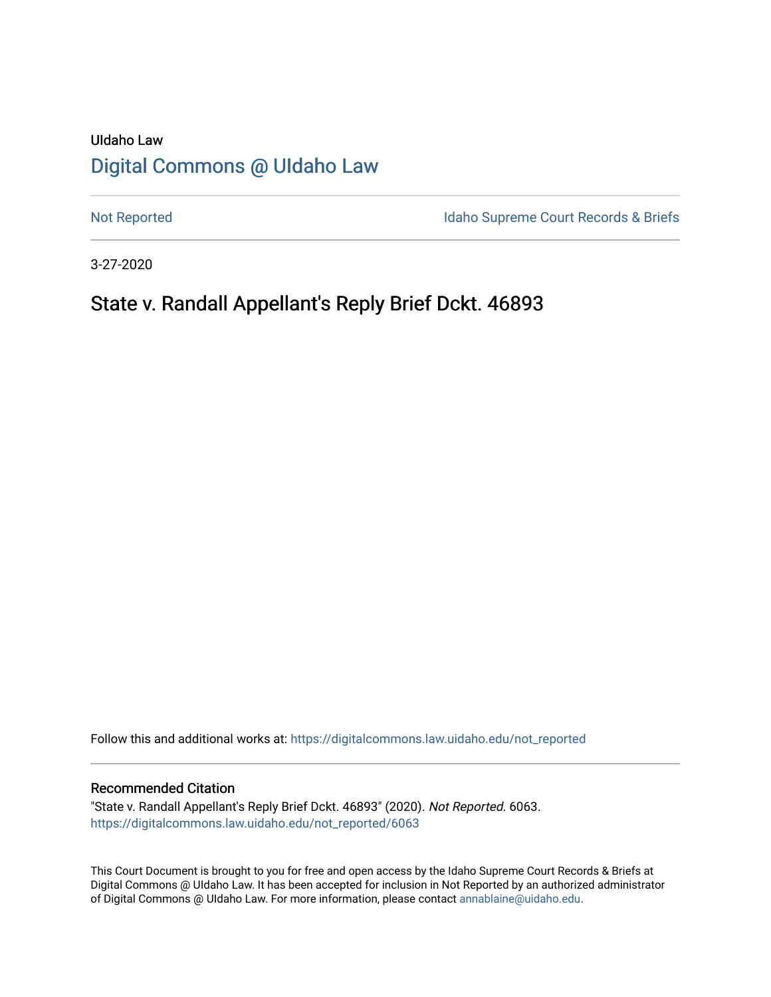# UIdaho Law [Digital Commons @ UIdaho Law](https://digitalcommons.law.uidaho.edu/)

[Not Reported](https://digitalcommons.law.uidaho.edu/not_reported) **Idaho Supreme Court Records & Briefs** 

3-27-2020

# State v. Randall Appellant's Reply Brief Dckt. 46893

Follow this and additional works at: [https://digitalcommons.law.uidaho.edu/not\\_reported](https://digitalcommons.law.uidaho.edu/not_reported?utm_source=digitalcommons.law.uidaho.edu%2Fnot_reported%2F6063&utm_medium=PDF&utm_campaign=PDFCoverPages) 

#### Recommended Citation

"State v. Randall Appellant's Reply Brief Dckt. 46893" (2020). Not Reported. 6063. [https://digitalcommons.law.uidaho.edu/not\\_reported/6063](https://digitalcommons.law.uidaho.edu/not_reported/6063?utm_source=digitalcommons.law.uidaho.edu%2Fnot_reported%2F6063&utm_medium=PDF&utm_campaign=PDFCoverPages)

This Court Document is brought to you for free and open access by the Idaho Supreme Court Records & Briefs at Digital Commons @ UIdaho Law. It has been accepted for inclusion in Not Reported by an authorized administrator of Digital Commons @ UIdaho Law. For more information, please contact [annablaine@uidaho.edu](mailto:annablaine@uidaho.edu).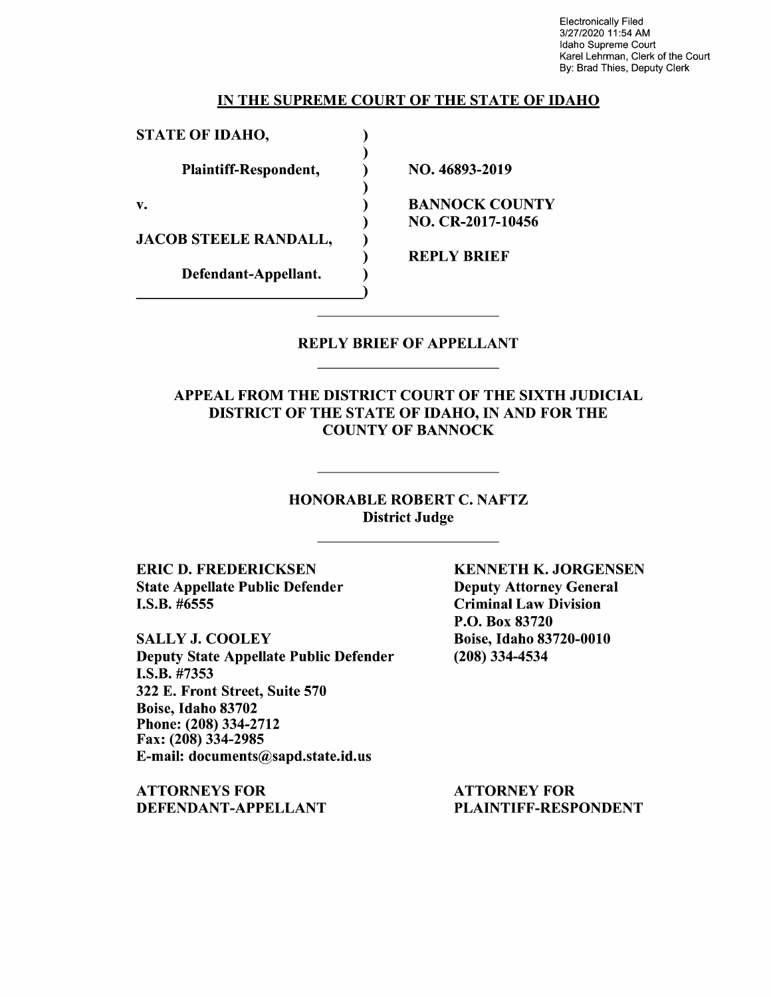Electronically Filed 3/27/2020 11 :54 AM Idaho Supreme Court Karel Lehrman, Clerk of the Court By: Brad Thies, Deputy Clerk

### IN THE SUPREME COURT OF THE STATE OF IDAHO

) ) ) ) ) ) ) ) )

STATE OF IDAHO,

Plaintiff-Respondent,

v.

JACOB STEELE RANDALL,

Defendant-Appellant.

NO. 46893-2019

BANNOCK COUNTY NO. CR-2017-10456

REPLY BRIEF

### REPLY BRIEF OF APPELLANT

APPEAL FROM THE DISTRICT COURT OF THE SIXTH JUDICIAL DISTRICT OF THE STATE OF IDAHO, IN AND FOR THE COUNTY OF BANNOCK

> HONORABLE ROBERT C. NAFTZ District Judge

ERIC D. FREDERICKSEN State Appellate Public Defender I.S.B. #6555

SALLY J. COOLEY Deputy State Appellate Public Defender **I.S.B.** #7353 322 E. Front Street, Suite 570 Boise, Idaho 83702 Phone:(208)334-2712 Fax: (208) 334-2985 E-mail: documents@sapd.state.id.us

**ATTORNEYS FOR DEFENDANT-APPELLANT**  **KENNETH K. JORGENSEN**  Deputy Attorney General Criminal Law Division P.O. Box 83720 Boise, Idaho 83720-0010 (208) 334-4534

ATTORNEY FOR PLAINTIFF-RESPONDENT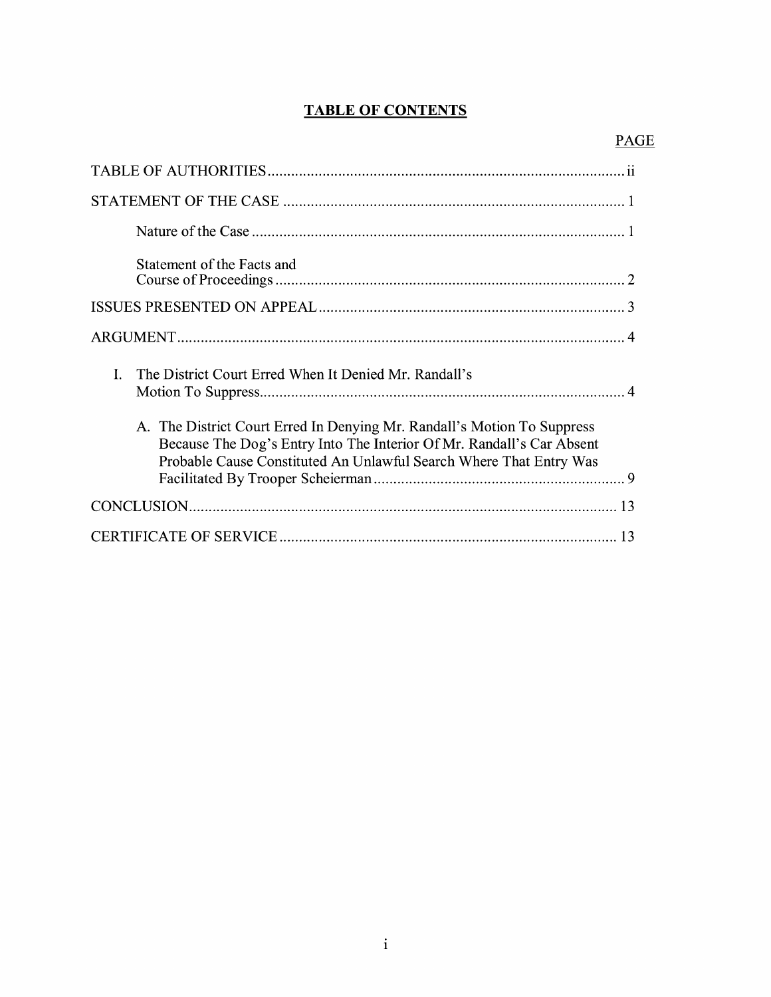# **TABLE OF CONTENTS**

| Statement of the Facts and                                                                                                                                                                                             |
|------------------------------------------------------------------------------------------------------------------------------------------------------------------------------------------------------------------------|
|                                                                                                                                                                                                                        |
|                                                                                                                                                                                                                        |
| The District Court Erred When It Denied Mr. Randall's<br>I.                                                                                                                                                            |
| A. The District Court Erred In Denying Mr. Randall's Motion To Suppress<br>Because The Dog's Entry Into The Interior Of Mr. Randall's Car Absent<br>Probable Cause Constituted An Unlawful Search Where That Entry Was |
|                                                                                                                                                                                                                        |
|                                                                                                                                                                                                                        |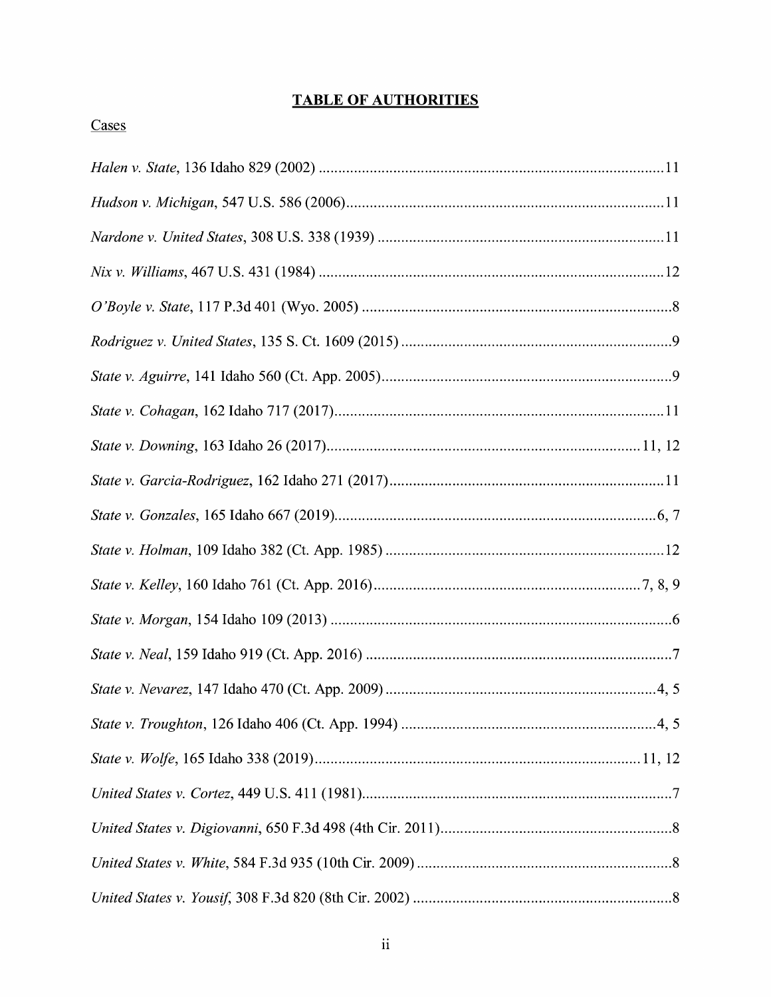# **TABLE OF AUTHORITIES**

# Cases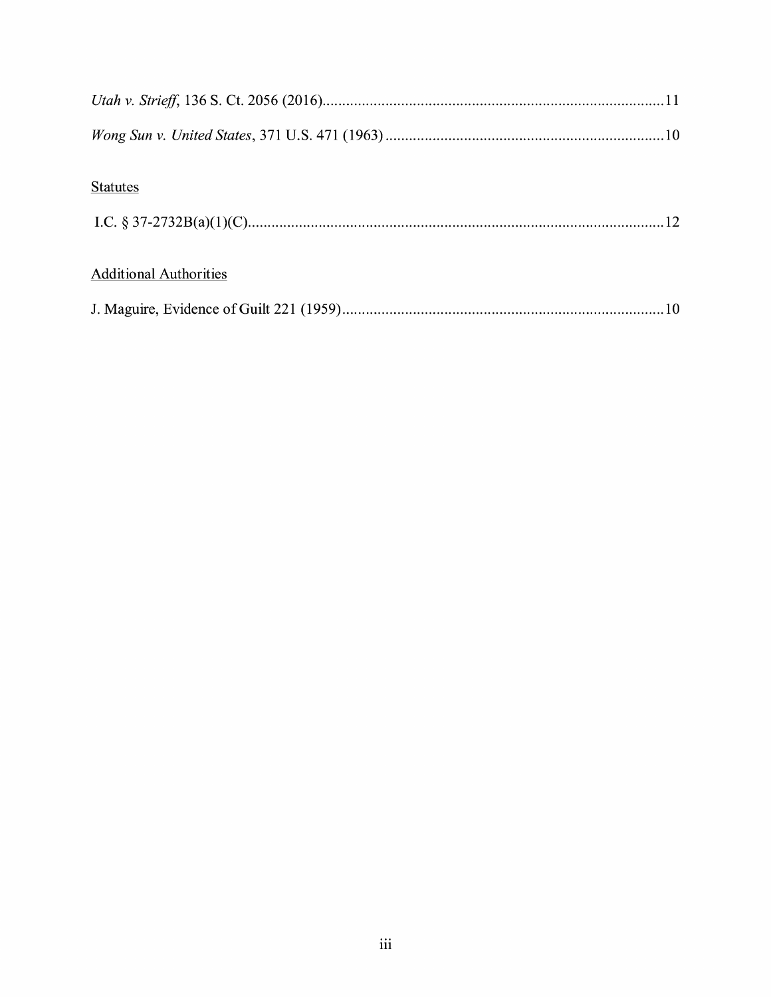| <b>Statutes</b>               |
|-------------------------------|
|                               |
|                               |
| <b>Additional Authorities</b> |
|                               |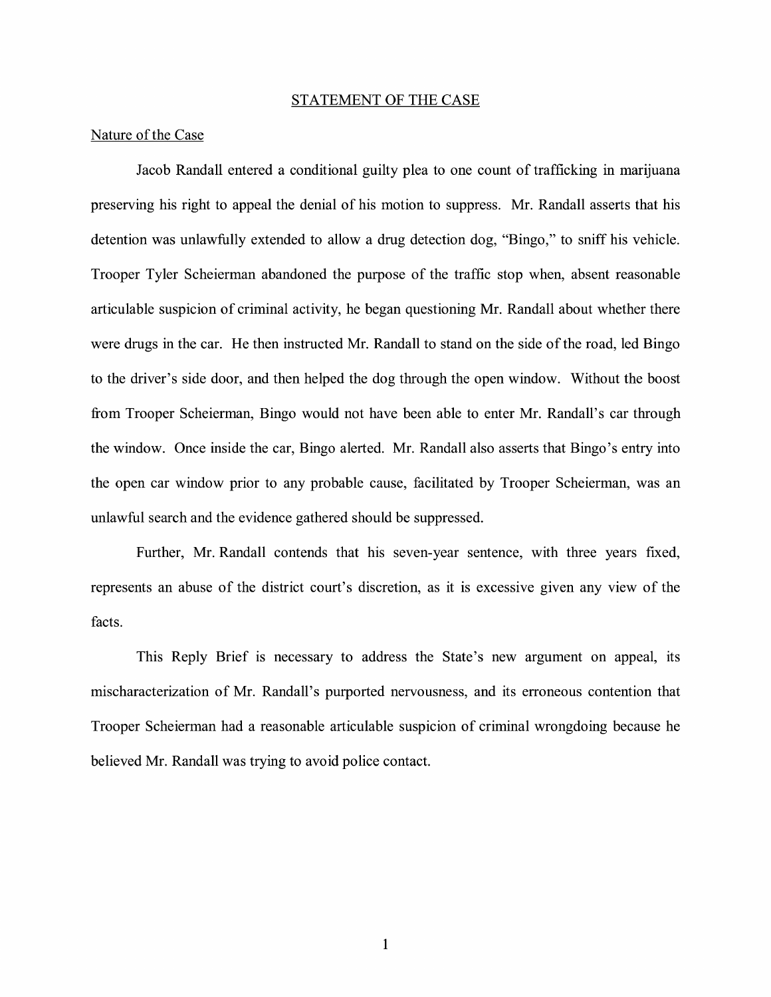#### STATEMENT OF THE CASE

### Nature of the Case

Jacob Randall entered a conditional guilty plea to one count of trafficking in marijuana preserving his right to appeal the denial of his motion to suppress. Mr. Randall asserts that his detention was unlawfully extended to allow a drug detection dog, "Bingo," to sniff his vehicle. Trooper Tyler Scheierman abandoned the purpose of the traffic stop when, absent reasonable articulable suspicion of criminal activity, he began questioning Mr. Randall about whether there were drugs in the car. He then instructed Mr. Randall to stand on the side of the road, led Bingo to the driver's side door, and then helped the dog through the open window. Without the boost from Trooper Scheierman, Bingo would not have been able to enter Mr. Randall's car through the window. Once inside the car, Bingo alerted. Mr. Randall also asserts that Bingo's entry into the open car window prior to any probable cause, facilitated by Trooper Scheierman, was an unlawful search and the evidence gathered should be suppressed.

Further, Mr. Randall contends that his seven-year sentence, with three years fixed, represents an abuse of the district court's discretion, as it is excessive given any view of the facts.

This Reply Brief is necessary to address the State's new argument on appeal, its mischaracterization of Mr. Randall's purported nervousness, and its erroneous contention that Trooper Scheierman had a reasonable articulable suspicion of criminal wrongdoing because he believed Mr. Randall was trying to avoid police contact.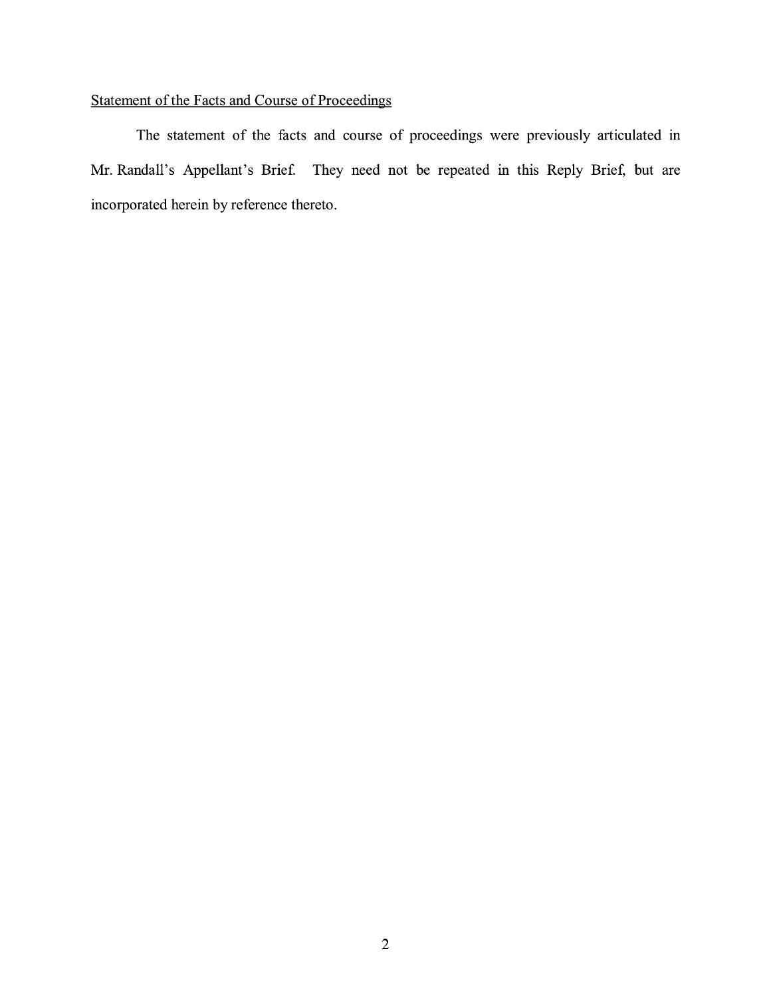# Statement of the Facts and Course of Proceedings

The statement of the facts and course of proceedings were previously articulated in Mr. Randall's Appellant's Brief. They need not be repeated in this Reply Brief, but are incorporated herein by reference thereto.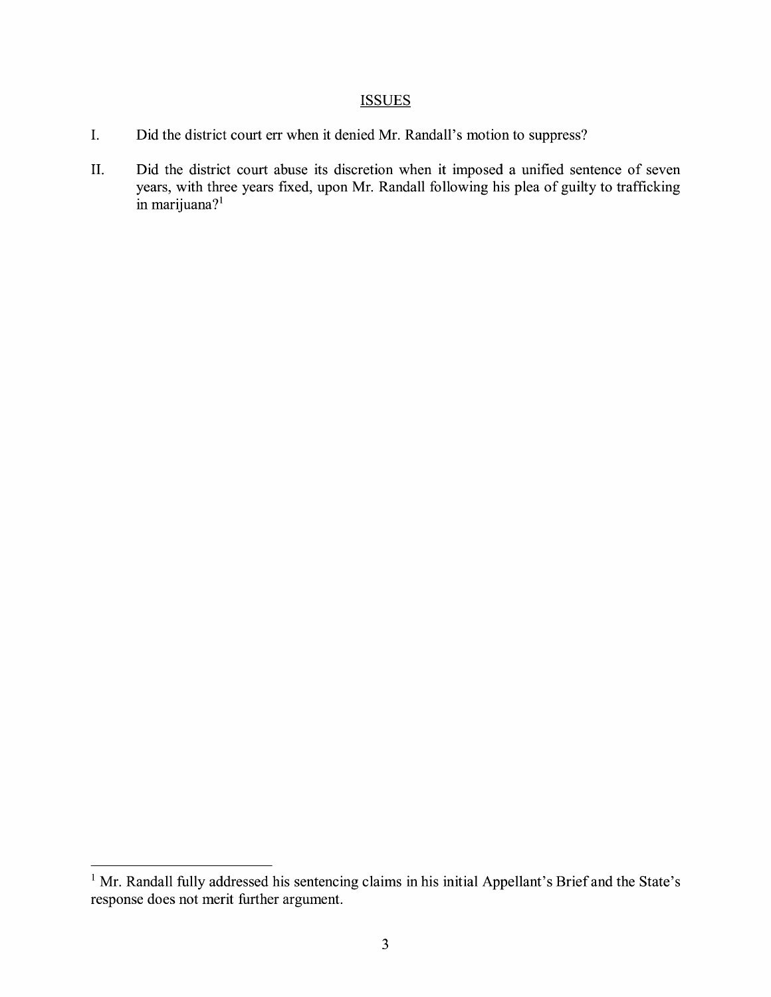## **ISSUES**

- I. Did the district court err when it denied Mr. Randall's motion to suppress?
- II. Did the district court abuse its discretion when it imposed a unified sentence of seven years, with three years fixed, upon Mr. Randall following his plea of guilty to trafficking  $\sin$  marijuana?<sup>1</sup>

<sup>&</sup>lt;sup>1</sup> Mr. Randall fully addressed his sentencing claims in his initial Appellant's Brief and the State's response does not merit further argument.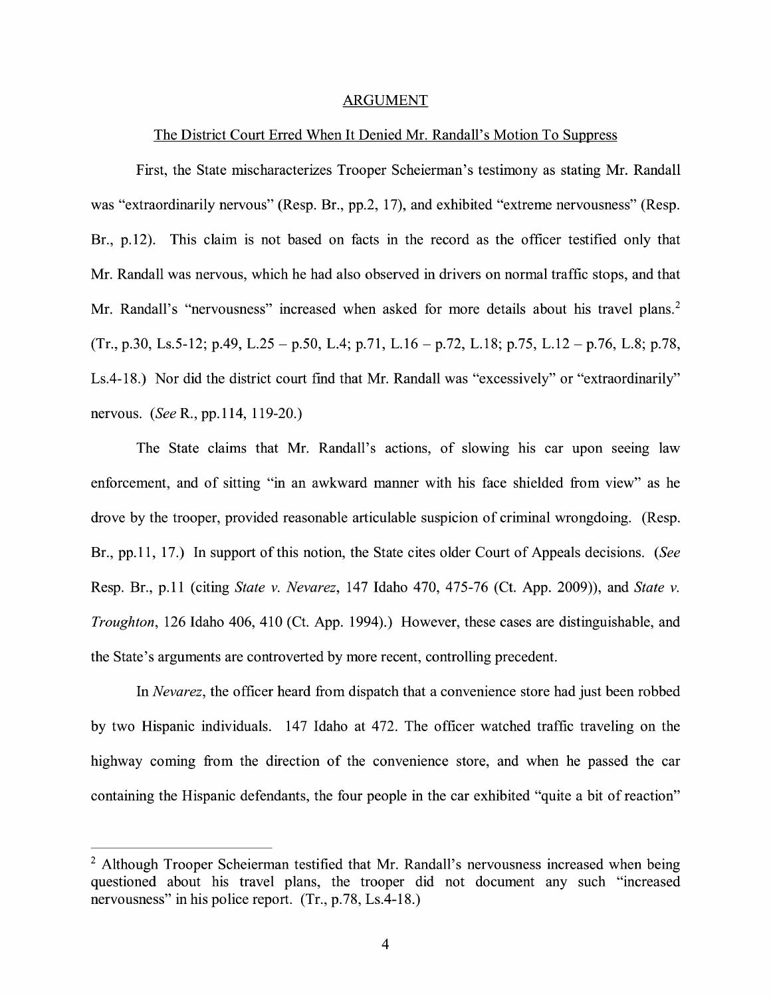#### ARGUMENT

#### The District Court Erred When It Denied Mr. Randall's Motion To Suppress

First, the State mischaracterizes Trooper Scheierman's testimony as stating Mr. Randall was "extraordinarily nervous" (Resp. Br., pp.2, 17), and exhibited "extreme nervousness" (Resp. Br., p.12). This claim is not based on facts in the record as the officer testified only that Mr. Randall was nervous, which he had also observed in drivers on normal traffic stops, and that Mr. Randall's "nervousness" increased when asked for more details about his travel plans.<sup>2</sup>  $(Tr, p.30, Ls.5-12; p.49, L.25 - p.50, L.4; p.71, L.16 - p.72, L.18; p.75, L.12 - p.76, L.8; p.78,$ Ls.4-18.) Nor did the district court find that Mr. Randall was "excessively" or "extraordinarily" nervous. *(See* R., pp.114, 119-20.)

The State claims that Mr. Randall's actions, of slowing his car upon seemg law enforcement, and of sitting "in an awkward manner with his face shielded from view" as he drove by the trooper, provided reasonable articulable suspicion of criminal wrongdoing. (Resp. Br., pp.11, 17.) In support of this notion, the State cites older Court of Appeals decisions. *(See*  Resp. Br., p.11 (citing *State v. Nevarez,* 147 Idaho 470, 475-76 (Ct. App. 2009)), and *State v. Troughton,* 126 Idaho 406, 410 (Ct. App. 1994).) However, these cases are distinguishable, and the State's arguments are controverted by more recent, controlling precedent.

In *Nevarez,* the officer heard from dispatch that a convenience store had just been robbed by two Hispanic individuals. 147 Idaho at 472. The officer watched traffic traveling on the highway coming from the direction of the convenience store, and when he passed the car containing the Hispanic defendants, the four people in the car exhibited "quite a bit of reaction"

 $2$  Although Trooper Scheierman testified that Mr. Randall's nervousness increased when being questioned about his travel plans, the trooper did not document any such "increased nervousness" in his police report. (Tr., p.78, Ls.4-18.)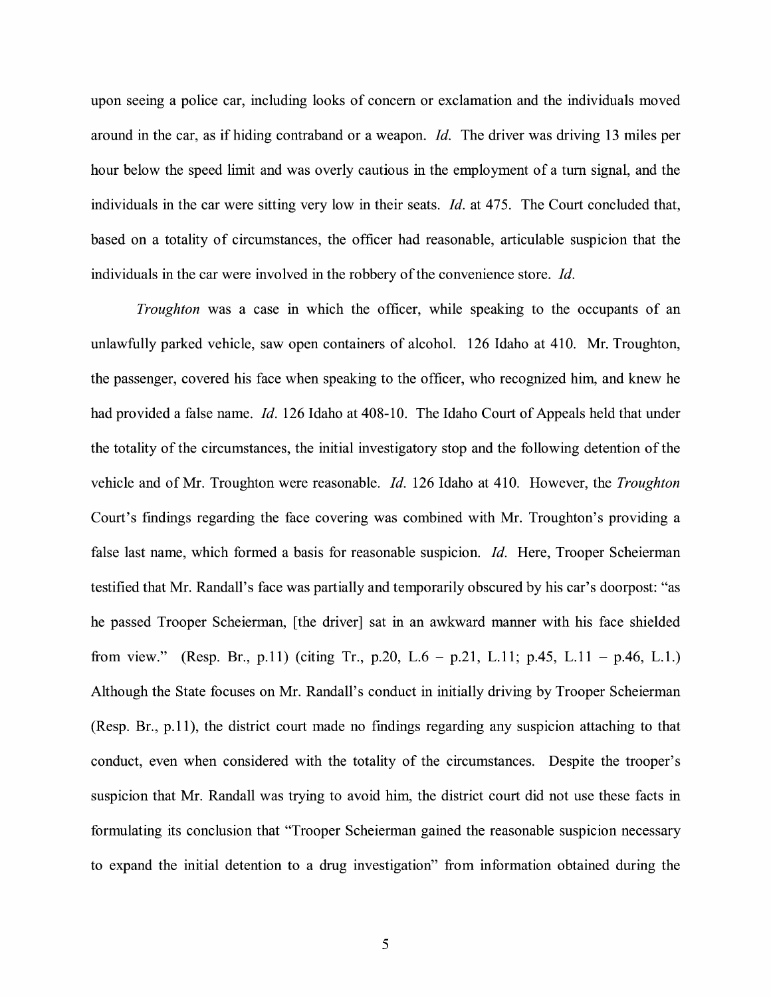upon seeing a police car, including looks of concern or exclamation and the individuals moved around in the car, as if hiding contraband or a weapon. *Id.* The driver was driving 13 miles per hour below the speed limit and was overly cautious in the employment of a tum signal, and the individuals in the car were sitting very low in their seats. *Id.* at 475. The Court concluded that, based on a totality of circumstances, the officer had reasonable, articulable suspicion that the individuals in the car were involved in the robbery of the convenience store. *Id.* 

*Troughton* was a case in which the officer, while speaking to the occupants of an unlawfully parked vehicle, saw open containers of alcohol. 126 Idaho at 410. Mr. Troughton, the passenger, covered his face when speaking to the officer, who recognized him, and knew he had provided a false name. *Id.* 126 Idaho at 408-10. The Idaho Court of Appeals held that under the totality of the circumstances, the initial investigatory stop and the following detention of the vehicle and of Mr. Troughton were reasonable. *Id.* 126 Idaho at 410. However, the *Troughton*  Court's findings regarding the face covering was combined with Mr. Troughton's providing a false last name, which formed a basis for reasonable suspicion. *Id.* Here, Trooper Scheierman testified that Mr. Randall's face was partially and temporarily obscured by his car's doorpost: "as he passed Trooper Scheierman, [the driver] sat in an awkward manner with his face shielded from view." (Resp. Br., p.11) (citing Tr., p.20, L.6 - p.21, L.11; p.45, L.11 - p.46, L.1.) Although the State focuses on Mr. Randall's conduct in initially driving by Trooper Scheierman (Resp. Br., p.11), the district court made no findings regarding any suspicion attaching to that conduct, even when considered with the totality of the circumstances. Despite the trooper's suspicion that Mr. Randall was trying to avoid him, the district court did not use these facts in formulating its conclusion that "Trooper Scheierman gained the reasonable suspicion necessary to expand the initial detention to a drug investigation" from information obtained during the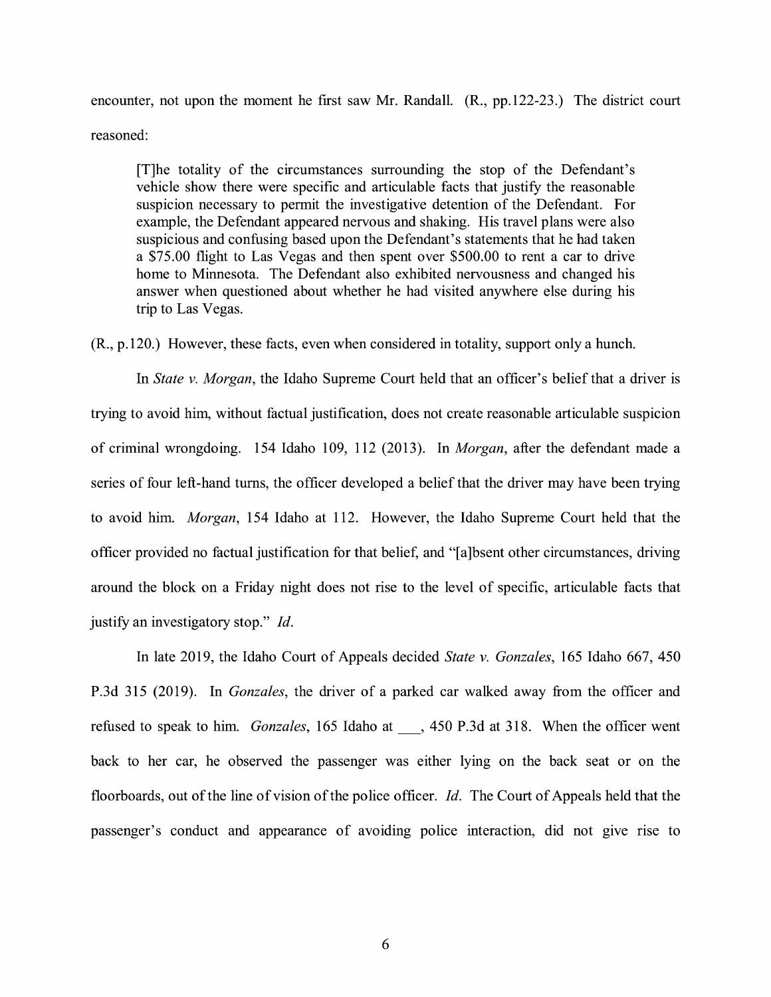encounter, not upon the moment he first saw Mr. Randall. (R., pp.122-23.) The district court reasoned:

[T]he totality of the circumstances surrounding the stop of the Defendant's vehicle show there were specific and articulable facts that justify the reasonable suspicion necessary to permit the investigative detention of the Defendant. For example, the Defendant appeared nervous and shaking. His travel plans were also suspicious and confusing based upon the Defendant's statements that he had taken a \$75.00 flight to Las Vegas and then spent over \$500.00 to rent a car to drive home to Minnesota. The Defendant also exhibited nervousness and changed his answer when questioned about whether he had visited anywhere else during his trip to Las Vegas.

(R., p.120.) However, these facts, even when considered in totality, support only a hunch.

In *State v. Morgan,* the Idaho Supreme Court held that an officer's belief that a driver is trying to avoid him, without factual justification, does not create reasonable articulable suspicion of criminal wrongdoing. 154 Idaho 109, 112 (2013). In *Morgan,* after the defendant made a series of four left-hand turns, the officer developed a belief that the driver may have been trying to avoid him. *Morgan,* 154 Idaho at 112. However, the Idaho Supreme Court held that the officer provided no factual justification for that belief, and "[ a ]bsent other circumstances, driving around the block on a Friday night does not rise to the level of specific, articulable facts that justify an investigatory stop." Id.

In late 2019, the Idaho Court of Appeals decided *State v. Gonzales,* 165 Idaho 667, 450 P.3d 315 (2019). In *Gonzales,* the driver of a parked car walked away from the officer and refused to speak to him. *Gonzales,* 165 Idaho at\_, 450 P.3d at 318. When the officer went back to her car, he observed the passenger was either lying on the back seat or on the floorboards, out of the line of vision of the police officer. *Id.* The Court of Appeals held that the passenger's conduct and appearance of avoiding police interaction, did not give rise to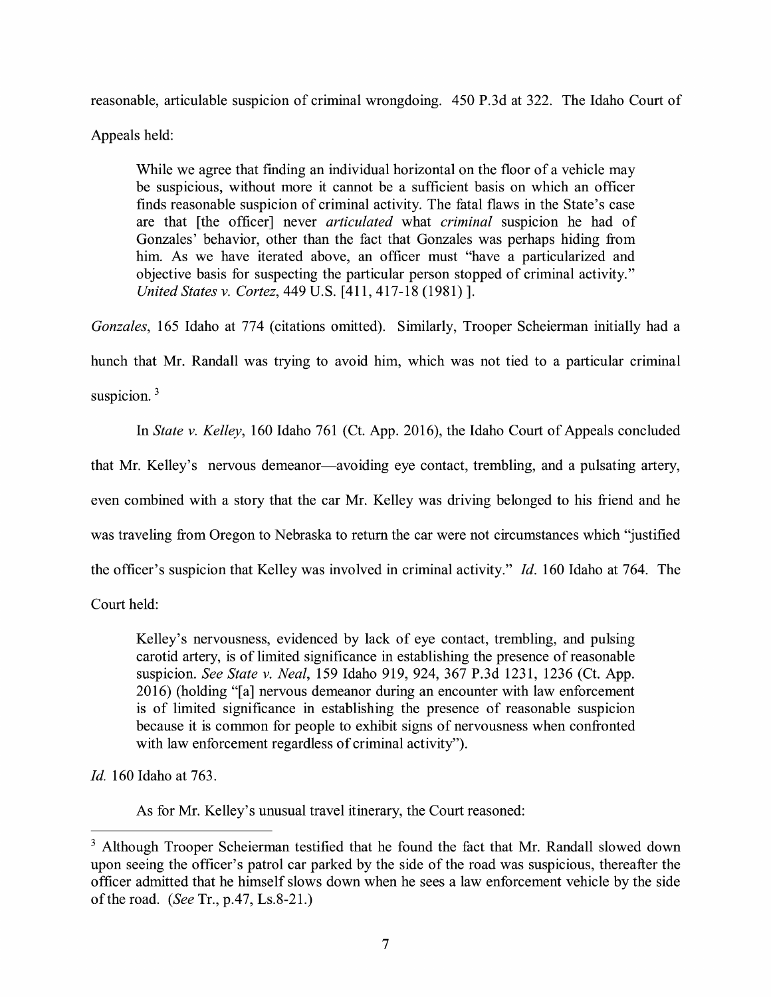reasonable, articulable suspicion of criminal wrongdoing. 450 P.3d at 322. The Idaho Court of

Appeals held:

While we agree that fmding an individual horizontal on the floor of a vehicle may be suspicious, without more it cannot be a sufficient basis on which an officer finds reasonable suspicion of criminal activity. The fatal flaws in the State's case are that [the officer] never *articulated* what *criminal* suspicion he had of Gonzales' behavior, other than the fact that Gonzales was perhaps hiding from him. As we have iterated above, an officer must "have a particularized and objective basis for suspecting the particular person stopped of criminal activity." *United States v. Cortez,* 449 U.S. [411, 417-18 (1981)].

Gonzales, 165 Idaho at 774 (citations omitted). Similarly, Trooper Scheierman initially had a hunch that Mr. Randall was trying to avoid him, which was not tied to a particular criminal suspicion.<sup>3</sup>

In *State v. Kelley,* 160 Idaho 761 (Ct. App. 2016), the Idaho Court of Appeals concluded

that Mr. Kelley's nervous demeanor—avoiding eye contact, trembling, and a pulsating artery,

even combined with a story that the car Mr. Kelley was driving belonged to his friend and he

was traveling from Oregon to Nebraska to return the car were not circumstances which "justified

the officer's suspicion that Kelley was involved in criminal activity." *Id.* 160 Idaho at 764. The

Court held:

Kelley's nervousness, evidenced by lack of eye contact, trembling, and pulsing carotid artery, is of limited significance in establishing the presence of reasonable suspicion. *See State v. Neal,* 159 Idaho 919, 924, 367 P.3d 1231, 1236 (Ct. App. 2016) (holding "[a] nervous demeanor during an encounter with law enforcement is of limited significance in establishing the presence of reasonable suspicion because it is common for people to exhibit signs of nervousness when confronted with law enforcement regardless of criminal activity").

*Id.* 160 Idaho at 763.

As for Mr. Kelley's unusual travel itinerary, the Court reasoned:

<sup>&</sup>lt;sup>3</sup> Although Trooper Scheierman testified that he found the fact that Mr. Randall slowed down upon seeing the officer's patrol car parked by the side of the road was suspicious, thereafter the officer admitted that he himself slows down when he sees a law enforcement vehicle by the side of the road. *(See* Tr., p.47, Ls.8-21.)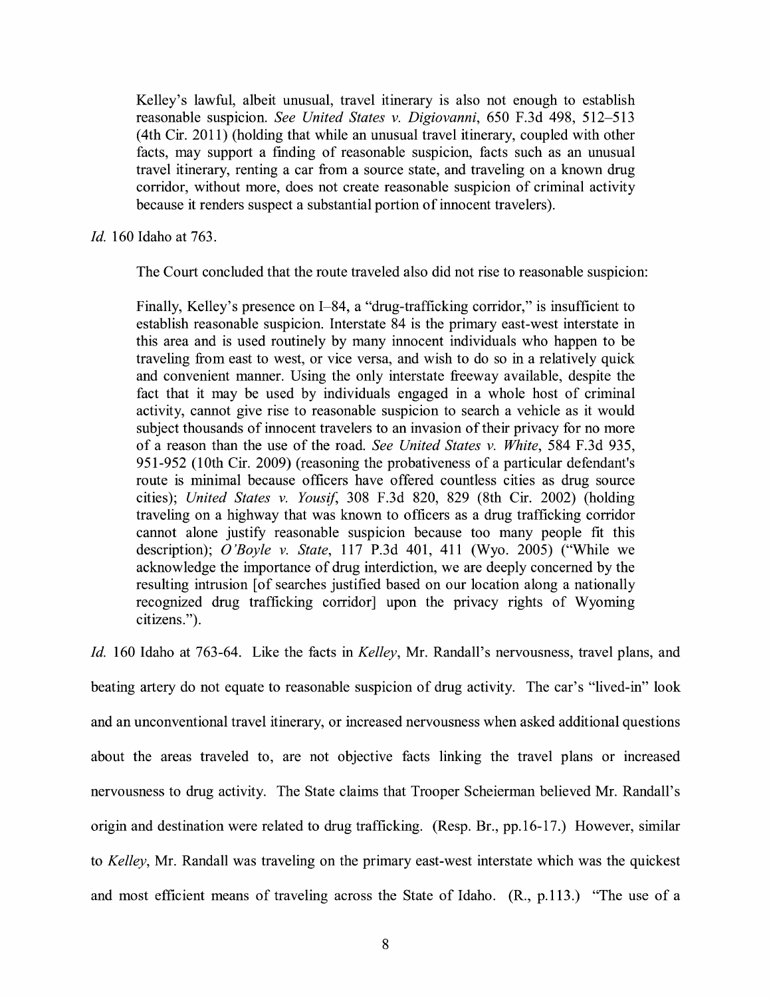Kelley's lawful, albeit unusual, travel itinerary is also not enough to establish reasonable suspicion. *See United States v. Digiovanni*, 650 F.3d 498, 512-513 (4th Cir. 2011) (holding that while an unusual travel itinerary, coupled with other facts, may support a finding of reasonable suspicion, facts such as an unusual travel itinerary, renting a car from a source state, and traveling on a known drug corridor, without more, does not create reasonable suspicion of criminal activity because it renders suspect a substantial portion of innocent travelers).

*Id.* 160 Idaho at 763.

The Court concluded that the route traveled also did not rise to reasonable suspicion:

Finally, Kelley's presence on I-84, a "drug-trafficking corridor," is insufficient to establish reasonable suspicion. Interstate 84 is the primary east-west interstate in this area and is used routinely by many innocent individuals who happen to be traveling from east to west, or vice versa, and wish to do so in a relatively quick and convenient manner. Using the only interstate freeway available, despite the fact that it may be used by individuals engaged in a whole host of criminal activity, cannot give rise to reasonable suspicion to search a vehicle as it would subject thousands of innocent travelers to an invasion of their privacy for no more of a reason than the use of the road. *See United States v. White,* 584 F.3d 935, 951-952 (10th Cir. 2009) (reasoning the probativeness of a particular defendant's route is minimal because officers have offered countless cities as drug source cities); *United States v. Yousif,* 308 F.3d 820, 829 (8th Cir. 2002) (holding traveling on a highway that was known to officers as a drug trafficking corridor cannot alone justify reasonable suspicion because too many people fit this description); *O'Boyle v. State,* 117 P.3d 401, 411 (Wyo. 2005) ("While we acknowledge the importance of drug interdiction, we are deeply concerned by the resulting intrusion [of searches justified based on our location along a nationally recognized drug trafficking corridor] upon the privacy rights of Wyoming citizens.").

*Id.* 160 Idaho at 763-64. Like the facts in *Kelley,* Mr. Randall's nervousness, travel plans, and beating artery do not equate to reasonable suspicion of drug activity. The car's "lived-in" look and an unconventional travel itinerary, or increased nervousness when asked additional questions about the areas traveled to, are not objective facts linking the travel plans or increased nervousness to drug activity. The State claims that Trooper Scheierman believed Mr. Randall's origin and destination were related to drug trafficking. (Resp. Br., pp.16-17.) However, similar to *Kelley,* Mr. Randall was traveling on the primary east-west interstate which was the quickest and most efficient means of traveling across the State of Idaho. (R., p.113.) "The use of a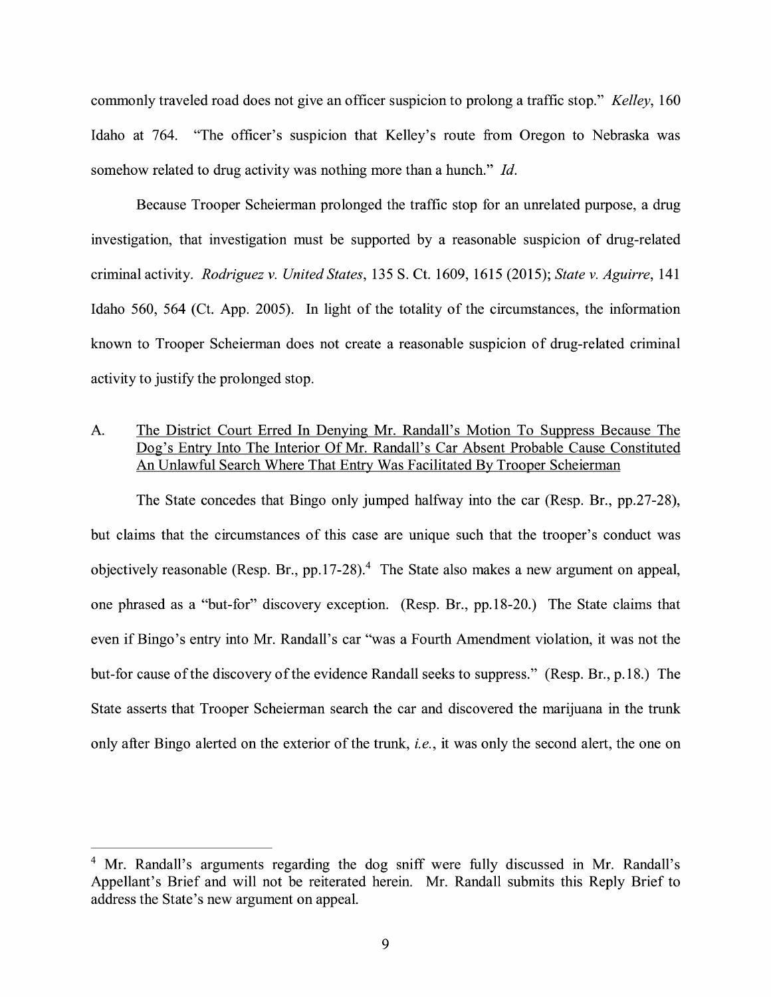commonly traveled road does not give an officer suspicion to prolong a traffic stop." *Kelley,* 160 Idaho at 764. "The officer's suspicion that Kelley's route from Oregon to Nebraska was somehow related to drug activity was nothing more than a hunch." *Id.* 

Because Trooper Scheierman prolonged the traffic stop for an unrelated purpose, a drug investigation, that investigation must be supported by a reasonable suspicion of drug-related criminal activity. *Rodriguez v. United States,* 135 S. Ct. 1609, 1615 (2015); *State v. Aguirre,* 141 Idaho 560, 564 (Ct. App. 2005). In light of the totality of the circumstances, the information known to Trooper Scheierman does not create a reasonable suspicion of drug-related criminal activity to justify the prolonged stop.

## A. The District Court Erred In Denying Mr. Randall's Motion To Suppress Because The Dog's Entry Into The Interior Of Mr. Randall's Car Absent Probable Cause Constituted An Unlawful Search Where That Entry Was Facilitated By Trooper Scheierman

The State concedes that Bingo only jumped halfway into the car (Resp. Br., pp.27-28), but claims that the circumstances of this case are unique such that the trooper's conduct was objectively reasonable (Resp. Br., pp.17-28).<sup>4</sup> The State also makes a new argument on appeal, one phrased as a "but-for" discovery exception. (Resp. Br., pp.18-20.) The State claims that even if Bingo's entry into Mr. Randall's car "was a Fourth Amendment violation, it was not the but-for cause of the discovery of the evidence Randall seeks to suppress." (Resp. Br., p.18.) The State asserts that Trooper Scheierman search the car and discovered the marijuana in the trunk only after Bingo alerted on the exterior of the trunk, *i.e.,* it was only the second alert, the one on

<sup>&</sup>lt;sup>4</sup> Mr. Randall's arguments regarding the dog sniff were fully discussed in Mr. Randall's Appellant's Brief and will not be reiterated herein. Mr. Randall submits this Reply Brief to address the State's new argument on appeal.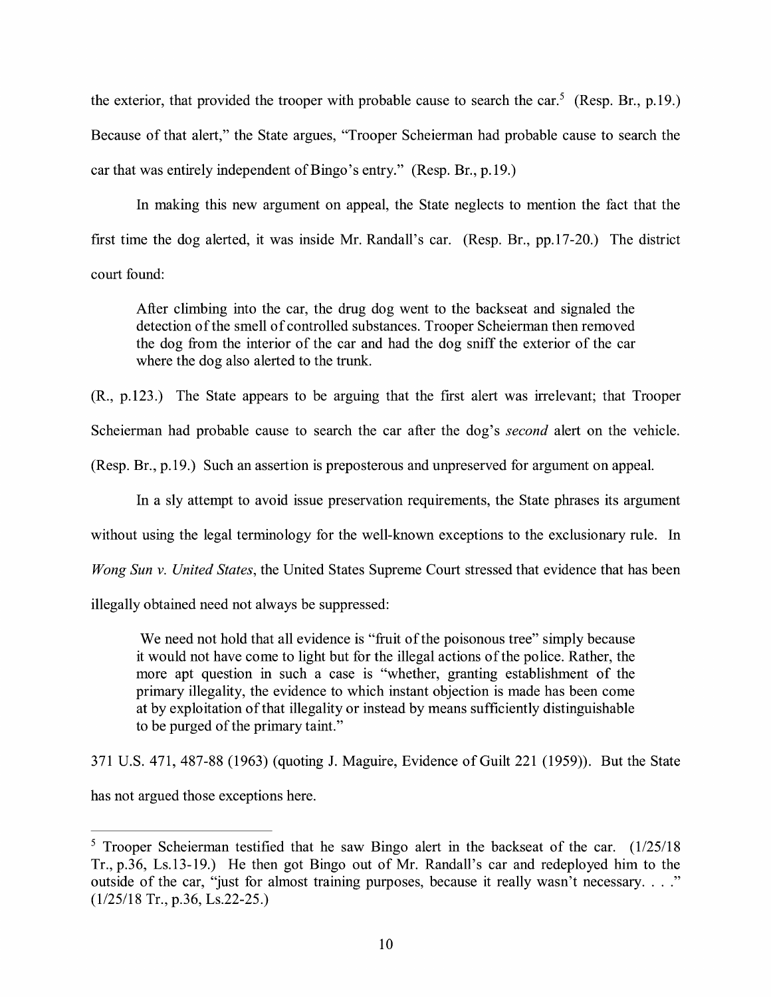the exterior, that provided the trooper with probable cause to search the car.<sup>5</sup> (Resp. Br., p.19.) Because of that alert," the State argues, "Trooper Scheierman had probable cause to search the car that was entirely independent of Bingo's entry." (Resp. Br., p.19.)

In making this new argument on appeal, the State neglects to mention the fact that the first time the dog alerted, it was inside Mr. Randall's car. (Resp. Br., pp.17-20.) The district court found:

After climbing into the car, the drug dog went to the backseat and signaled the detection of the smell of controlled substances. Trooper Scheierman then removed the dog from the interior of the car and had the dog sniff the exterior of the car where the dog also alerted to the trunk.

(R., p.123.) The State appears to be arguing that the first alert was irrelevant; that Trooper

Scheierman had probable cause to search the car after the dog's *second* alert on the vehicle.

(Resp. Br., p.19.) Such an assertion is preposterous and unpreserved for argument on appeal.

In a sly attempt to avoid issue preservation requirements, the State phrases its argument

without using the legal terminology for the well-known exceptions to the exclusionary rule. In

*Wong Sun v. United States,* the United States Supreme Court stressed that evidence that has been

illegally obtained need not always be suppressed:

We need not hold that all evidence is "fruit of the poisonous tree" simply because it would not have come to light but for the illegal actions of the police. Rather, the more apt question in such a case is "whether, granting establishment of the primary illegality, the evidence to which instant objection is made has been come at by exploitation of that illegality or instead by means sufficiently distinguishable to be purged of the primary taint."

371 U.S. 471, 487-88 (1963) (quoting J. Maguire, Evidence of Guilt 221 (1959)). But the State

has not argued those exceptions here.

 $5$  Trooper Scheierman testified that he saw Bingo alert in the backseat of the car.  $(1/25/18)$ Tr., p.36, Ls.13-19.) He then got Bingo out of Mr. Randall's car and redeployed him to the outside of the car, "just for almost training purposes, because it really wasn't necessary...." (1/25/18 Tr., p.36, Ls.22-25.)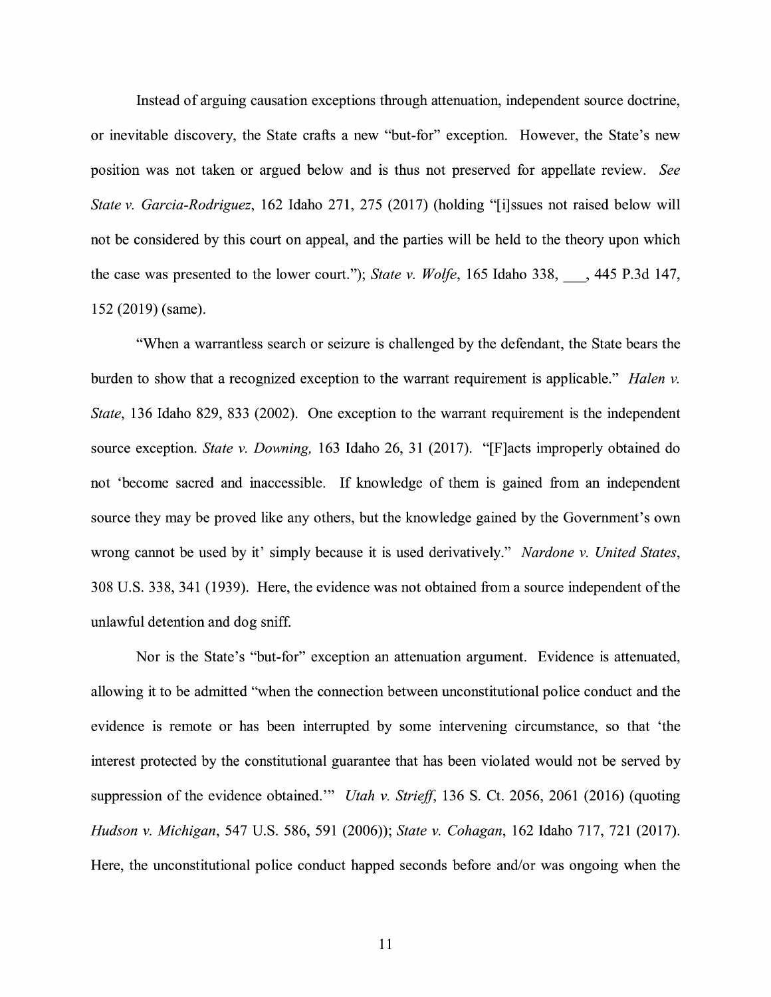Instead of arguing causation exceptions through attenuation, independent source doctrine, or inevitable discovery, the State crafts a new "but-for" exception. However, the State's new position was not taken or argued below and is thus not preserved for appellate review. *See State v. Garcia-Rodriguez,* 162 Idaho 271, 275 (2017) (holding "[i]ssues not raised below will not be considered by this court on appeal, and the parties will be held to the theory upon which the case was presented to the lower court."); *State v. Wolfe*, 165 Idaho 338, 3445 P.3d 147, 152 (2019) (same).

"When a warrantless search or seizure is challenged by the defendant, the State bears the burden to show that a recognized exception to the warrant requirement is applicable." *Halen v. State,* 136 Idaho 829, 833 (2002). One exception to the warrant requirement is the independent source exception. *State v. Downing,* 163 Idaho 26, 31 (2017). "[F]acts improperly obtained do not 'become sacred and inaccessible. If knowledge of them is gained from an independent source they may be proved like any others, but the knowledge gained by the Government's own wrong cannot be used by it' simply because it is used derivatively." *Nardone v. United States,*  308 U.S. 338, 341 (1939). Here, the evidence was not obtained from a source independent of the unlawful detention and dog sniff

Nor is the State's "but-for" exception an attenuation argument. Evidence is attenuated, allowing it to be admitted "when the connection between unconstitutional police conduct and the evidence is remote or has been interrupted by some intervening circumstance, so that 'the interest protected by the constitutional guarantee that has been violated would not be served by suppression of the evidence obtained." *Utah v. Strieff*, 136 S. Ct. 2056, 2061 (2016) (quoting *Hudson v. Michigan,* 547 U.S. 586, 591 (2006)); *State v. Cohagan,* 162 Idaho 717, 721 (2017). Here, the unconstitutional police conduct happed seconds before and/or was ongoing when the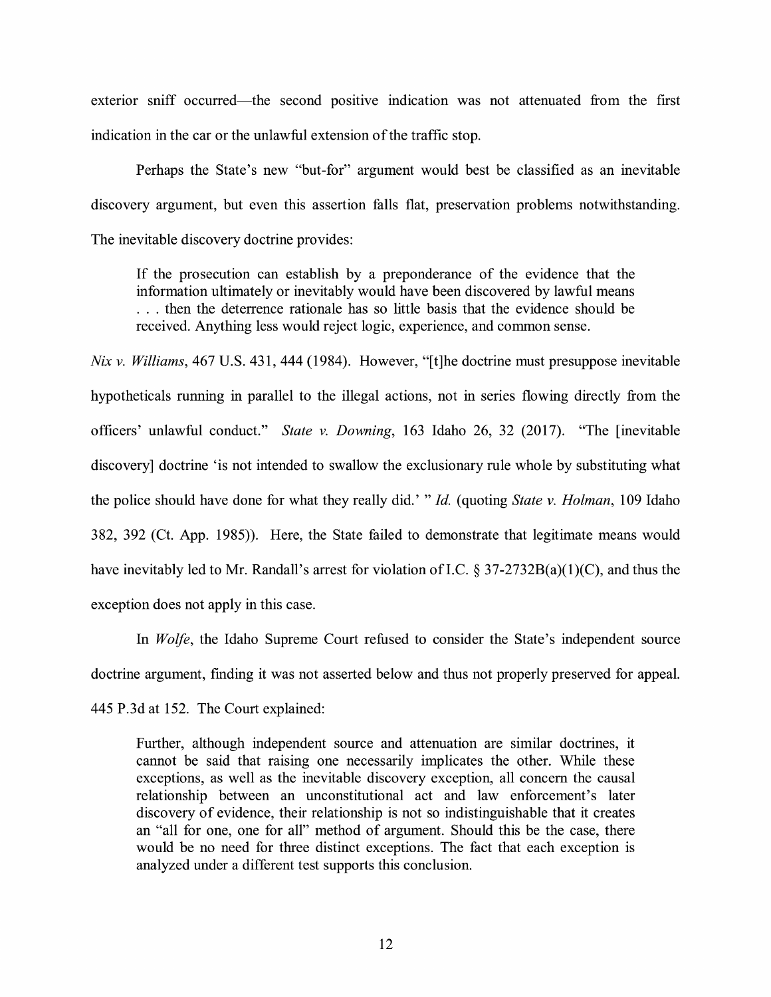exterior sniff occurred—the second positive indication was not attenuated from the first indication in the car or the unlawful extension of the traffic stop.

Perhaps the State's new "but-for" argument would best be classified as an inevitable discovery argument, but even this assertion falls flat, preservation problems notwithstanding. The inevitable discovery doctrine provides:

If the prosecution can establish by a preponderance of the evidence that the information ultimately or inevitably would have been discovered by lawful means . . . then the deterrence rationale has so little basis that the evidence should be received. Anything less would reject logic, experience, and common sense.

*Nix v. Williams,* 467 U.S. 431, 444 (1984). However, "[t]he doctrine must presuppose inevitable hypotheticals running in parallel to the illegal actions, not in series flowing directly from the officers' unlawful conduct." *State v. Downing,* 163 Idaho 26, 32 (2017). "The [inevitable discovery] doctrine 'is not intended to swallow the exclusionary rule whole by substituting what the police should have done for what they really did.' " *Id.* ( quoting *State v. Holman,* l 09 Idaho 382, 392 (Ct. App. 1985)). Here, the State failed to demonstrate that legitimate means would have inevitably led to Mr. Randall's arrest for violation of I.C. § 37-2732B(a)(1)(C), and thus the exception does not apply in this case.

In *Wolfe,* the Idaho Supreme Court refused to consider the State's independent source doctrine argument, finding it was not asserted below and thus not properly preserved for appeal. 445 P.3d at 152. The Court explained:

Further, although independent source and attenuation are similar doctrines, it cannot be said that raising one necessarily implicates the other. While these exceptions, as well as the inevitable discovery exception, all concern the causal relationship between an unconstitutional act and law enforcement's later discovery of evidence, their relationship is not so indistinguishable that it creates an "all for one, one for all" method of argument. Should this be the case, there would be no need for three distinct exceptions. The fact that each exception is analyzed under a different test supports this conclusion.